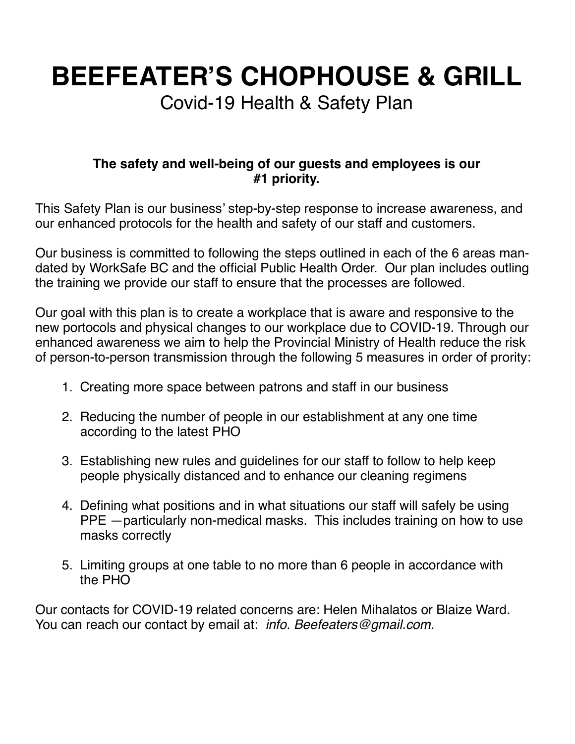**BEEFEATER'S CHOPHOUSE & GRILL**

Covid-19 Health & Safety Plan

#### **The safety and well-being of our guests and employees is our #1 priority.**

This Safety Plan is our business' step-by-step response to increase awareness, and our enhanced protocols for the health and safety of our staff and customers.

Our business is committed to following the steps outlined in each of the 6 areas mandated by WorkSafe BC and the official Public Health Order. Our plan includes outling the training we provide our staff to ensure that the processes are followed.

Our goal with this plan is to create a workplace that is aware and responsive to the new portocols and physical changes to our workplace due to COVID-19. Through our enhanced awareness we aim to help the Provincial Ministry of Health reduce the risk of person-to-person transmission through the following 5 measures in order of prority:

- 1. Creating more space between patrons and staff in our business
- 2. Reducing the number of people in our establishment at any one time according to the latest PHO
- 3. Establishing new rules and guidelines for our staff to follow to help keep people physically distanced and to enhance our cleaning regimens
- 4. Defining what positions and in what situations our staff will safely be using PPE —particularly non-medical masks. This includes training on how to use masks correctly
- 5. Limiting groups at one table to no more than 6 people in accordance with the PHO

Our contacts for COVID-19 related concerns are: Helen Mihalatos or Blaize Ward. You can reach our contact by email at: *info. Beefeaters@gmail.com.*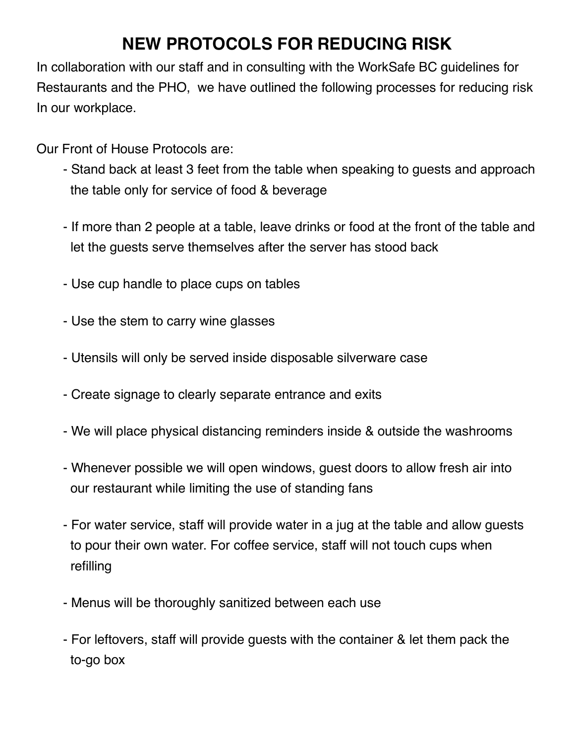## **NEW PROTOCOLS FOR REDUCING RISK**

In collaboration with our staff and in consulting with the WorkSafe BC guidelines for Restaurants and the PHO, we have outlined the following processes for reducing risk In our workplace.

Our Front of House Protocols are:

- Stand back at least 3 feet from the table when speaking to guests and approach the table only for service of food & beverage
- If more than 2 people at a table, leave drinks or food at the front of the table and let the guests serve themselves after the server has stood back
- Use cup handle to place cups on tables
- Use the stem to carry wine glasses
- Utensils will only be served inside disposable silverware case
- Create signage to clearly separate entrance and exits
- We will place physical distancing reminders inside & outside the washrooms
- Whenever possible we will open windows, guest doors to allow fresh air into our restaurant while limiting the use of standing fans
- For water service, staff will provide water in a jug at the table and allow guests to pour their own water. For coffee service, staff will not touch cups when refilling
- Menus will be thoroughly sanitized between each use
- For leftovers, staff will provide guests with the container & let them pack the to-go box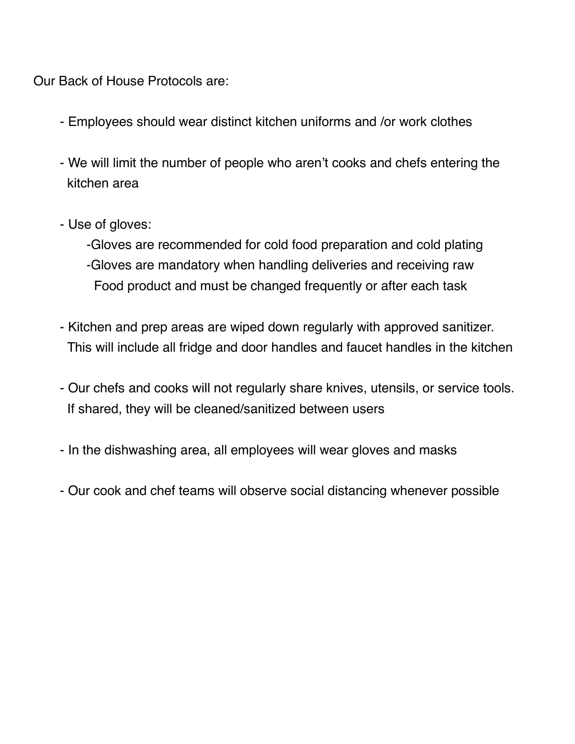Our Back of House Protocols are:

- Employees should wear distinct kitchen uniforms and /or work clothes
- We will limit the number of people who aren't cooks and chefs entering the kitchen area
- Use of gloves:
	- -Gloves are recommended for cold food preparation and cold plating -Gloves are mandatory when handling deliveries and receiving raw Food product and must be changed frequently or after each task
- Kitchen and prep areas are wiped down regularly with approved sanitizer. This will include all fridge and door handles and faucet handles in the kitchen
- Our chefs and cooks will not regularly share knives, utensils, or service tools. If shared, they will be cleaned/sanitized between users
- In the dishwashing area, all employees will wear gloves and masks
- Our cook and chef teams will observe social distancing whenever possible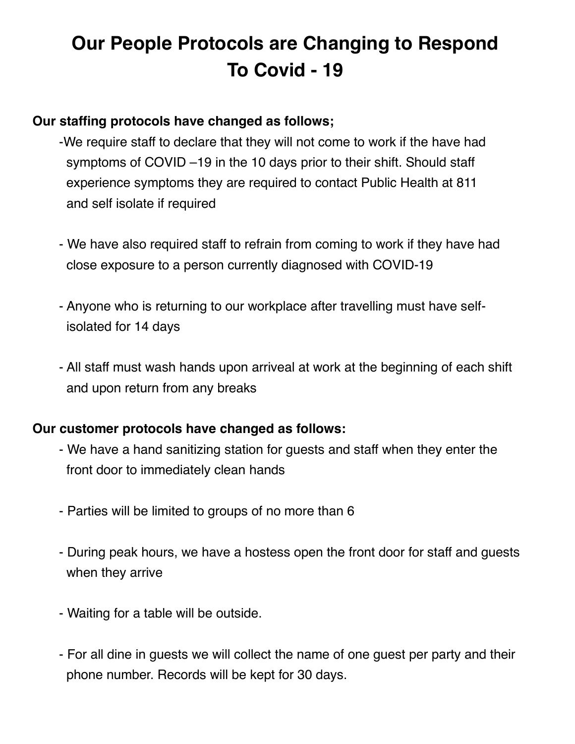# **Our People Protocols are Changing to Respond To Covid - 19**

#### **Our staffing protocols have changed as follows;**

- -We require staff to declare that they will not come to work if the have had symptoms of COVID –19 in the 10 days prior to their shift. Should staff experience symptoms they are required to contact Public Health at 811 and self isolate if required
- We have also required staff to refrain from coming to work if they have had close exposure to a person currently diagnosed with COVID-19
- Anyone who is returning to our workplace after travelling must have self isolated for 14 days
- All staff must wash hands upon arriveal at work at the beginning of each shift and upon return from any breaks

#### **Our customer protocols have changed as follows:**

- We have a hand sanitizing station for guests and staff when they enter the front door to immediately clean hands
- Parties will be limited to groups of no more than 6
- During peak hours, we have a hostess open the front door for staff and guests when they arrive
- Waiting for a table will be outside.
- For all dine in guests we will collect the name of one guest per party and their phone number. Records will be kept for 30 days.